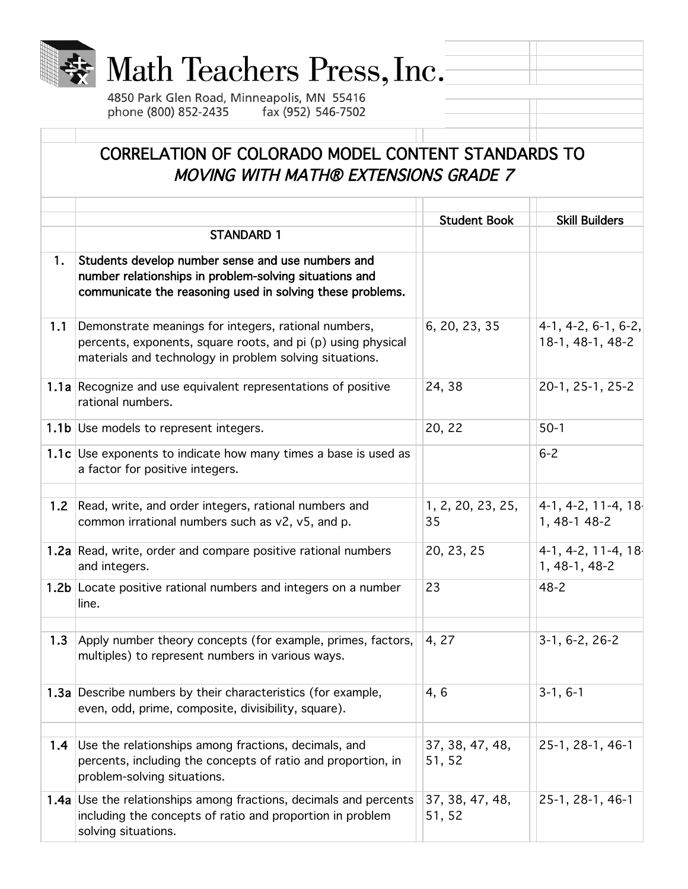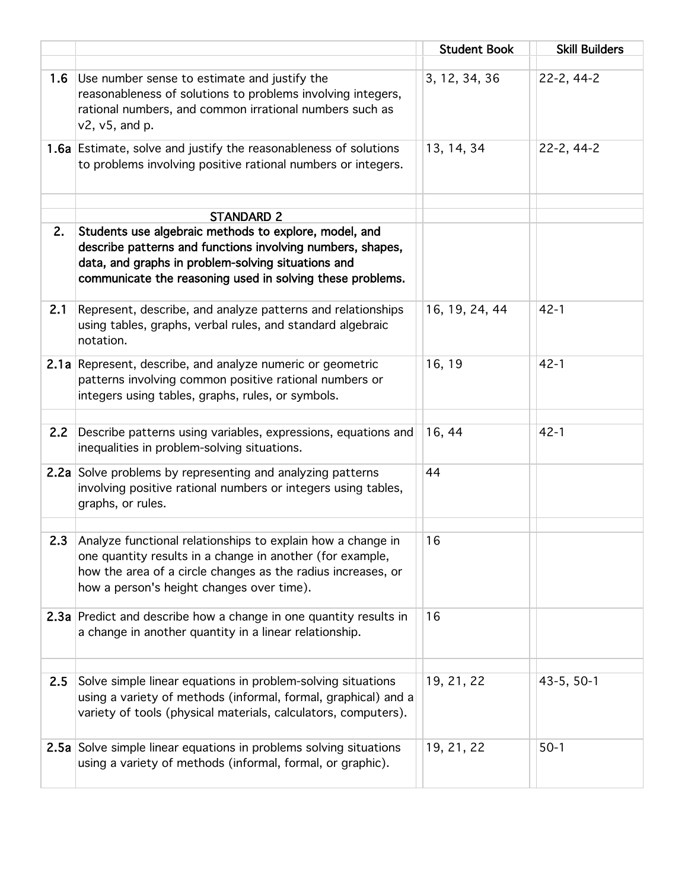|     |                                                                                                                                                                                                                                        | <b>Student Book</b> | <b>Skill Builders</b> |
|-----|----------------------------------------------------------------------------------------------------------------------------------------------------------------------------------------------------------------------------------------|---------------------|-----------------------|
| 1.6 | Use number sense to estimate and justify the<br>reasonableness of solutions to problems involving integers,<br>rational numbers, and common irrational numbers such as<br>$v2$ , $v5$ , and p.                                         | 3, 12, 34, 36       | 22-2, 44-2            |
|     | 1.6a Estimate, solve and justify the reasonableness of solutions<br>to problems involving positive rational numbers or integers.                                                                                                       | 13, 14, 34          | 22-2, 44-2            |
|     | <b>STANDARD 2</b>                                                                                                                                                                                                                      |                     |                       |
| 2.  | Students use algebraic methods to explore, model, and<br>describe patterns and functions involving numbers, shapes,<br>data, and graphs in problem-solving situations and<br>communicate the reasoning used in solving these problems. |                     |                       |
| 2.1 | Represent, describe, and analyze patterns and relationships<br>using tables, graphs, verbal rules, and standard algebraic<br>notation.                                                                                                 | 16, 19, 24, 44      | $42 - 1$              |
|     | 2.1a Represent, describe, and analyze numeric or geometric<br>patterns involving common positive rational numbers or<br>integers using tables, graphs, rules, or symbols.                                                              | 16, 19              | $42 - 1$              |
| 2.2 | Describe patterns using variables, expressions, equations and<br>inequalities in problem-solving situations.                                                                                                                           | 16, 44              | $42 - 1$              |
|     | 2.2a Solve problems by representing and analyzing patterns<br>involving positive rational numbers or integers using tables,<br>graphs, or rules.                                                                                       | 44                  |                       |
| 2.3 | Analyze functional relationships to explain how a change in<br>one quantity results in a change in another (for example,<br>how the area of a circle changes as the radius increases, or<br>how a person's height changes over time).  | 16                  |                       |
|     | 2.3a Predict and describe how a change in one quantity results in<br>a change in another quantity in a linear relationship.                                                                                                            | 16                  |                       |
|     |                                                                                                                                                                                                                                        |                     |                       |
| 2.5 | Solve simple linear equations in problem-solving situations<br>using a variety of methods (informal, formal, graphical) and a<br>variety of tools (physical materials, calculators, computers).                                        | 19, 21, 22          | 43-5, 50-1            |
|     | 2.5a Solve simple linear equations in problems solving situations<br>using a variety of methods (informal, formal, or graphic).                                                                                                        | 19, 21, 22          | $50-1$                |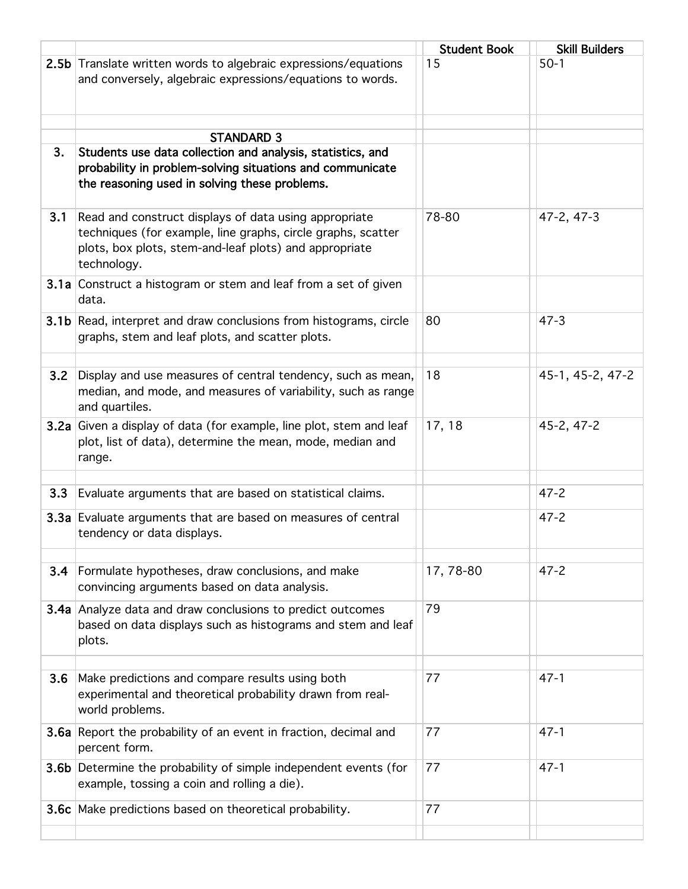|     |                                                                                                                                                                                                | <b>Student Book</b> | <b>Skill Builders</b> |
|-----|------------------------------------------------------------------------------------------------------------------------------------------------------------------------------------------------|---------------------|-----------------------|
|     | 2.5b Translate written words to algebraic expressions/equations<br>and conversely, algebraic expressions/equations to words.                                                                   | 15                  | $50-1$                |
|     |                                                                                                                                                                                                |                     |                       |
|     | <b>STANDARD 3</b>                                                                                                                                                                              |                     |                       |
| 3.  | Students use data collection and analysis, statistics, and<br>probability in problem-solving situations and communicate<br>the reasoning used in solving these problems.                       |                     |                       |
| 3.1 | Read and construct displays of data using appropriate<br>techniques (for example, line graphs, circle graphs, scatter<br>plots, box plots, stem-and-leaf plots) and appropriate<br>technology. | 78-80               | 47-2, 47-3            |
|     | 3.1a Construct a histogram or stem and leaf from a set of given<br>data.                                                                                                                       |                     |                       |
|     | 3.1b Read, interpret and draw conclusions from histograms, circle<br>graphs, stem and leaf plots, and scatter plots.                                                                           | 80                  | $47 - 3$              |
| 3.2 | Display and use measures of central tendency, such as mean,<br>median, and mode, and measures of variability, such as range<br>and quartiles.                                                  | 18                  | 45-1, 45-2, 47-2      |
|     | 3.2a Given a display of data (for example, line plot, stem and leaf<br>plot, list of data), determine the mean, mode, median and<br>range.                                                     | 17, 18              | 45-2, 47-2            |
| 3.3 | Evaluate arguments that are based on statistical claims.                                                                                                                                       |                     | $47 - 2$              |
|     | 3.3a Evaluate arguments that are based on measures of central<br>tendency or data displays.                                                                                                    |                     | $47 - 2$              |
|     | <b>3.4</b> Formulate hypotheses, draw conclusions, and make<br>convincing arguments based on data analysis.                                                                                    | 17,78-80            | $47 - 2$              |
|     | <b>3.4a</b> Analyze data and draw conclusions to predict outcomes<br>based on data displays such as histograms and stem and leaf<br>plots.                                                     | 79                  |                       |
| 3.6 | Make predictions and compare results using both<br>experimental and theoretical probability drawn from real-<br>world problems.                                                                | 77                  | $47 - 1$              |
|     | 3.6a Report the probability of an event in fraction, decimal and<br>percent form.                                                                                                              | 77                  | $47 - 1$              |
|     | 3.6b Determine the probability of simple independent events (for<br>example, tossing a coin and rolling a die).                                                                                | 77                  | $47 - 1$              |
|     | 3.6c Make predictions based on theoretical probability.                                                                                                                                        | 77                  |                       |
|     |                                                                                                                                                                                                |                     |                       |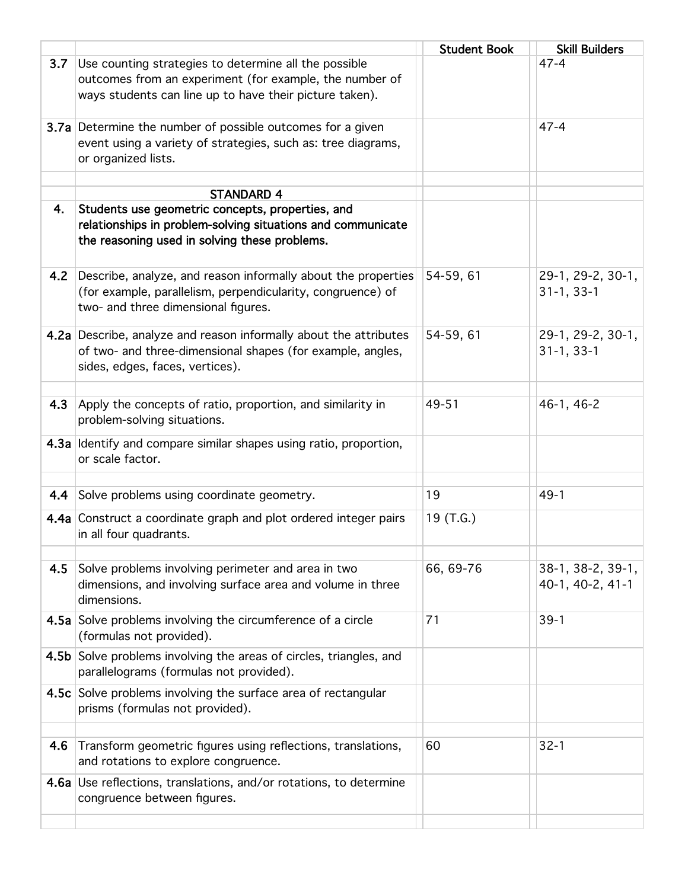|     |                                                                                                                                                                                       | <b>Student Book</b> | <b>Skill Builders</b>                 |
|-----|---------------------------------------------------------------------------------------------------------------------------------------------------------------------------------------|---------------------|---------------------------------------|
| 3.7 | Use counting strategies to determine all the possible<br>outcomes from an experiment (for example, the number of<br>ways students can line up to have their picture taken).           |                     | $47 - 4$                              |
|     | 3.7a Determine the number of possible outcomes for a given<br>event using a variety of strategies, such as: tree diagrams,<br>or organized lists.                                     |                     | $47 - 4$                              |
|     |                                                                                                                                                                                       |                     |                                       |
| 4.  | <b>STANDARD 4</b><br>Students use geometric concepts, properties, and<br>relationships in problem-solving situations and communicate<br>the reasoning used in solving these problems. |                     |                                       |
| 4.2 | Describe, analyze, and reason informally about the properties<br>(for example, parallelism, perpendicularity, congruence) of<br>two- and three dimensional figures.                   | 54-59, 61           | 29-1, 29-2, 30-1,<br>$31-1, 33-1$     |
|     | 4.2a Describe, analyze and reason informally about the attributes<br>of two- and three-dimensional shapes (for example, angles,<br>sides, edges, faces, vertices).                    | 54-59, 61           | 29-1, 29-2, 30-1,<br>$31-1, 33-1$     |
| 4.3 | Apply the concepts of ratio, proportion, and similarity in<br>problem-solving situations.                                                                                             | 49-51               | 46-1, 46-2                            |
|     | 4.3a Identify and compare similar shapes using ratio, proportion,<br>or scale factor.                                                                                                 |                     |                                       |
|     | 4.4 Solve problems using coordinate geometry.                                                                                                                                         | 19                  | $49-1$                                |
|     | 4.4a Construct a coordinate graph and plot ordered integer pairs<br>in all four quadrants.                                                                                            | 19 (T.G.)           |                                       |
| 4.5 | Solve problems involving perimeter and area in two<br>dimensions, and involving surface area and volume in three<br>dimensions.                                                       | 66, 69-76           | 38-1, 38-2, 39-1,<br>40-1, 40-2, 41-1 |
|     | 4.5a Solve problems involving the circumference of a circle<br>(formulas not provided).                                                                                               | 71                  | $39-1$                                |
|     | 4.5b Solve problems involving the areas of circles, triangles, and<br>parallelograms (formulas not provided).                                                                         |                     |                                       |
|     | 4.5c Solve problems involving the surface area of rectangular<br>prisms (formulas not provided).                                                                                      |                     |                                       |
|     |                                                                                                                                                                                       |                     |                                       |
| 4.6 | Transform geometric figures using reflections, translations,<br>and rotations to explore congruence.                                                                                  | 60                  | $32 - 1$                              |
|     | 4.6a Use reflections, translations, and/or rotations, to determine<br>congruence between figures.                                                                                     |                     |                                       |
|     |                                                                                                                                                                                       |                     |                                       |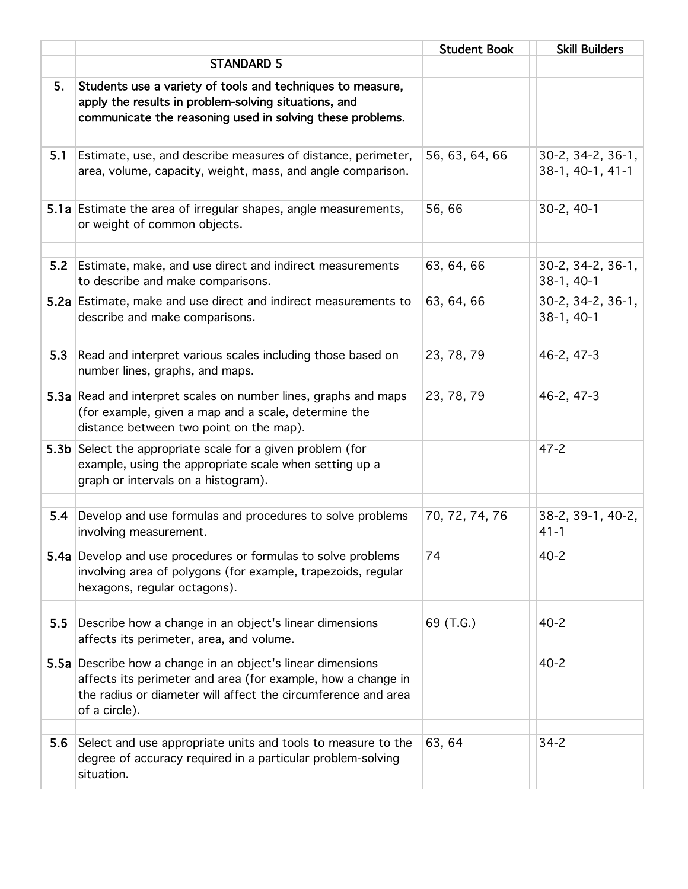|     |                                                                                                                                                                                                               | <b>Student Book</b> | <b>Skill Builders</b>                 |
|-----|---------------------------------------------------------------------------------------------------------------------------------------------------------------------------------------------------------------|---------------------|---------------------------------------|
|     | <b>STANDARD 5</b>                                                                                                                                                                                             |                     |                                       |
| 5.  | Students use a variety of tools and techniques to measure,<br>apply the results in problem-solving situations, and<br>communicate the reasoning used in solving these problems.                               |                     |                                       |
| 5.1 | Estimate, use, and describe measures of distance, perimeter,<br>area, volume, capacity, weight, mass, and angle comparison.                                                                                   | 56, 63, 64, 66      | 30-2, 34-2, 36-1,<br>38-1, 40-1, 41-1 |
|     | 5.1a Estimate the area of irregular shapes, angle measurements,<br>or weight of common objects.                                                                                                               | 56,66               | $30-2, 40-1$                          |
| 5.2 | Estimate, make, and use direct and indirect measurements<br>to describe and make comparisons.                                                                                                                 | 63, 64, 66          | 30-2, 34-2, 36-1,<br>$38-1, 40-1$     |
|     | 5.2a Estimate, make and use direct and indirect measurements to<br>describe and make comparisons.                                                                                                             | 63, 64, 66          | 30-2, 34-2, 36-1,<br>38-1, 40-1       |
| 5.3 | Read and interpret various scales including those based on<br>number lines, graphs, and maps.                                                                                                                 | 23, 78, 79          | $46 - 2, 47 - 3$                      |
|     | 5.3a Read and interpret scales on number lines, graphs and maps<br>(for example, given a map and a scale, determine the<br>distance between two point on the map).                                            | 23, 78, 79          | 46-2, 47-3                            |
|     | 5.3b Select the appropriate scale for a given problem (for<br>example, using the appropriate scale when setting up a<br>graph or intervals on a histogram).                                                   |                     | $47 - 2$                              |
| 5.4 | Develop and use formulas and procedures to solve problems<br>involving measurement.                                                                                                                           | 70, 72, 74, 76      | 38-2, 39-1, 40-2,<br>$41 - 1$         |
|     | 5.4a Develop and use procedures or formulas to solve problems<br>involving area of polygons (for example, trapezoids, regular<br>hexagons, regular octagons).                                                 | 74                  | $40 - 2$                              |
| 5.5 | Describe how a change in an object's linear dimensions<br>affects its perimeter, area, and volume.                                                                                                            | 69 (T.G.)           | $40 - 2$                              |
|     | 5.5a Describe how a change in an object's linear dimensions<br>affects its perimeter and area (for example, how a change in<br>the radius or diameter will affect the circumference and area<br>of a circle). |                     | $40 - 2$                              |
|     |                                                                                                                                                                                                               |                     |                                       |
| 5.6 | Select and use appropriate units and tools to measure to the<br>degree of accuracy required in a particular problem-solving<br>situation.                                                                     | 63, 64              | $34 - 2$                              |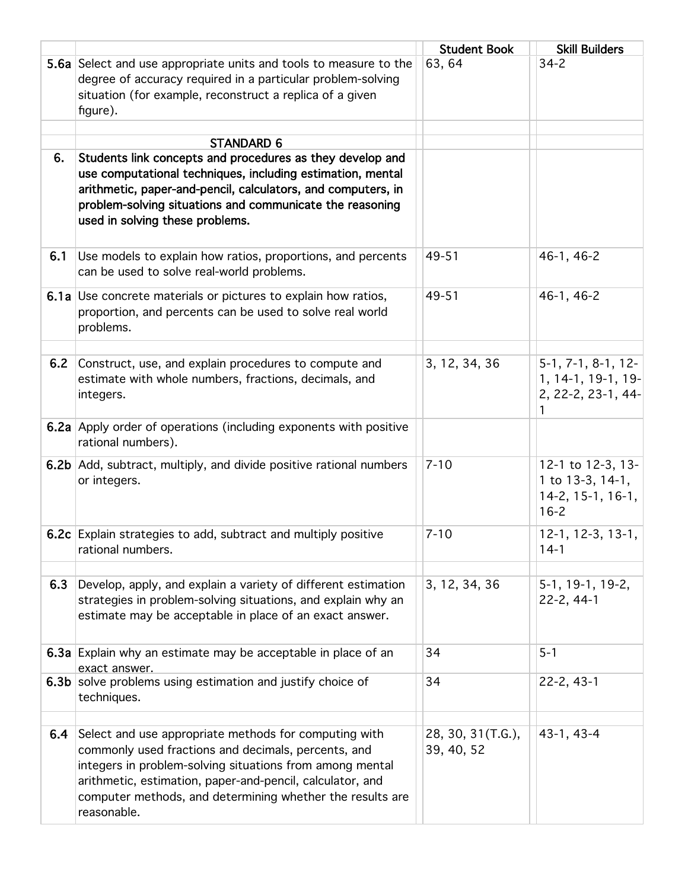|     |                                                                                                                                                                                                                                                                                                                   | <b>Student Book</b>             | <b>Skill Builders</b>                                                      |
|-----|-------------------------------------------------------------------------------------------------------------------------------------------------------------------------------------------------------------------------------------------------------------------------------------------------------------------|---------------------------------|----------------------------------------------------------------------------|
|     | 5.6a Select and use appropriate units and tools to measure to the<br>degree of accuracy required in a particular problem-solving<br>situation (for example, reconstruct a replica of a given<br>figure).                                                                                                          | 63, 64                          | $34 - 2$                                                                   |
|     |                                                                                                                                                                                                                                                                                                                   |                                 |                                                                            |
| 6.  | <b>STANDARD 6</b><br>Students link concepts and procedures as they develop and<br>use computational techniques, including estimation, mental<br>arithmetic, paper-and-pencil, calculators, and computers, in<br>problem-solving situations and communicate the reasoning<br>used in solving these problems.       |                                 |                                                                            |
| 6.1 | Use models to explain how ratios, proportions, and percents<br>can be used to solve real-world problems.                                                                                                                                                                                                          | 49-51                           | 46-1, 46-2                                                                 |
|     | 6.1a Use concrete materials or pictures to explain how ratios,<br>proportion, and percents can be used to solve real world<br>problems.                                                                                                                                                                           | 49-51                           | 46-1, 46-2                                                                 |
| 6.2 | Construct, use, and explain procedures to compute and<br>estimate with whole numbers, fractions, decimals, and<br>integers.                                                                                                                                                                                       | 3, 12, 34, 36                   | $5-1, 7-1, 8-1, 12-$<br>1, 14-1, 19-1, 19-<br>2, 22-2, 23-1, 44-           |
|     | 6.2a Apply order of operations (including exponents with positive<br>rational numbers).                                                                                                                                                                                                                           |                                 |                                                                            |
|     | 6.2b Add, subtract, multiply, and divide positive rational numbers<br>or integers.                                                                                                                                                                                                                                | $7 - 10$                        | 12-1 to 12-3, 13-<br>1 to $13-3, 14-1,$<br>$14-2, 15-1, 16-1,$<br>$16 - 2$ |
|     | 6.2c Explain strategies to add, subtract and multiply positive<br>rational numbers.                                                                                                                                                                                                                               | $7 - 10$                        | $12-1, 12-3, 13-1,$<br>$14-1$                                              |
| 6.3 | Develop, apply, and explain a variety of different estimation<br>strategies in problem-solving situations, and explain why an<br>estimate may be acceptable in place of an exact answer.                                                                                                                          | 3, 12, 34, 36                   | 5-1, 19-1, 19-2,<br>22-2, 44-1                                             |
|     | 6.3a Explain why an estimate may be acceptable in place of an<br>exact answer.                                                                                                                                                                                                                                    | 34                              | $5 - 1$                                                                    |
|     | 6.3b solve problems using estimation and justify choice of<br>techniques.                                                                                                                                                                                                                                         | 34                              | $22-2, 43-1$                                                               |
| 6.4 | Select and use appropriate methods for computing with<br>commonly used fractions and decimals, percents, and<br>integers in problem-solving situations from among mental<br>arithmetic, estimation, paper-and-pencil, calculator, and<br>computer methods, and determining whether the results are<br>reasonable. | 28, 30, 31(T.G.),<br>39, 40, 52 | 43-1, 43-4                                                                 |